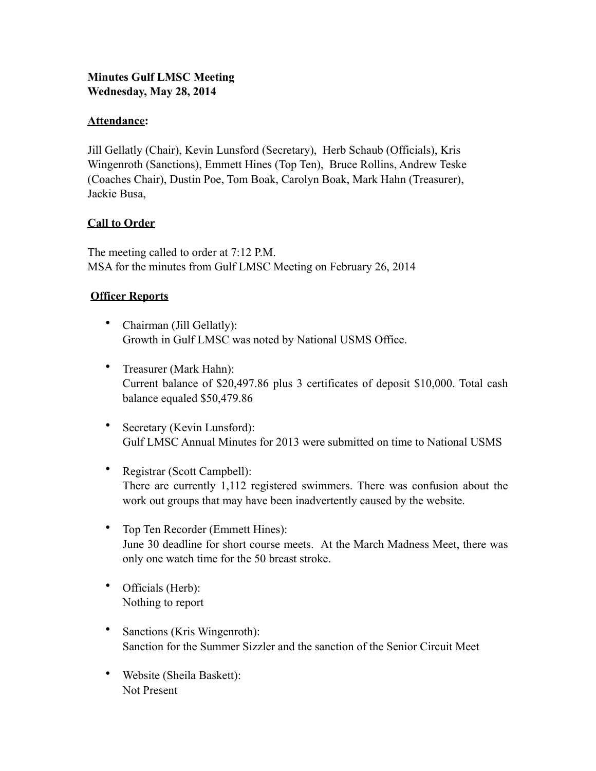## **Minutes Gulf LMSC Meeting Wednesday, May 28, 2014**

### **Attendance:**

Jill Gellatly (Chair), Kevin Lunsford (Secretary), Herb Schaub (Officials), Kris Wingenroth (Sanctions), Emmett Hines (Top Ten), Bruce Rollins, Andrew Teske (Coaches Chair), Dustin Poe, Tom Boak, Carolyn Boak, Mark Hahn (Treasurer), Jackie Busa,

### **Call to Order**

The meeting called to order at 7:12 P.M. MSA for the minutes from Gulf LMSC Meeting on February 26, 2014

### **Officer Reports**

- Chairman (Jill Gellatly): Growth in Gulf LMSC was noted by National USMS Office.
- Treasurer (Mark Hahn): Current balance of \$20,497.86 plus 3 certificates of deposit \$10,000. Total cash balance equaled \$50,479.86
- Secretary (Kevin Lunsford): Gulf LMSC Annual Minutes for 2013 were submitted on time to National USMS
- Registrar (Scott Campbell): There are currently 1,112 registered swimmers. There was confusion about the work out groups that may have been inadvertently caused by the website.
- Top Ten Recorder (Emmett Hines): June 30 deadline for short course meets. At the March Madness Meet, there was only one watch time for the 50 breast stroke.
- Officials (Herb): Nothing to report
- Sanctions (Kris Wingenroth): Sanction for the Summer Sizzler and the sanction of the Senior Circuit Meet
- Website (Sheila Baskett): Not Present